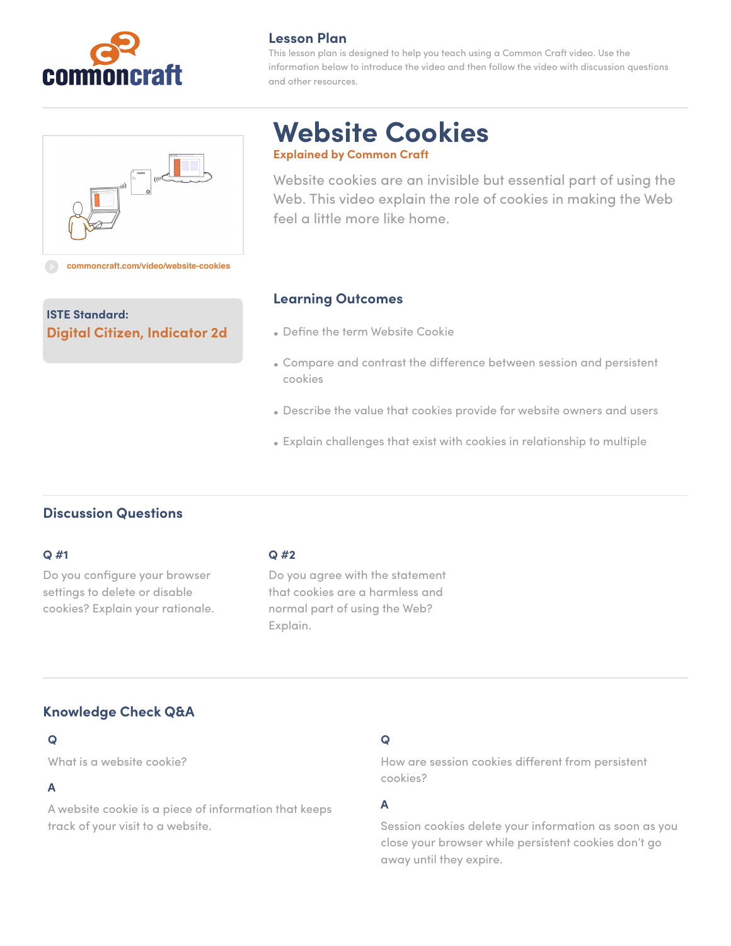

## **Lesson Plan**

This lesson plan is designed to help you teach using a Common Craft video. Use the information below to introduce the video and then follow the video with discussion questions and other resources.



**Digital Citizen, Indicator 2d**

# **Website Cookies Explained by Common Craft**

Website cookies are an invisible but essential part of using the Web. This video explain the role of cookies in making the Web feel a little more like home.

# **Learning Outcomes**

- Define the term Website Cookie
- Compare and contrast the difference between session and persistent cookies
- Describe the value that cookies provide for website owners and users
- Explain challenges that exist with cookies in relationship to multiple

# **Discussion Questions**

**ISTE Standard:**

#### **Q #1**

Do you configure your browser settings to delete or disable cookies? Explain your rationale.

## **Q #2**

Do you agree with the statement that cookies are a harmless and normal part of using the Web? Explain.

# **Knowledge Check Q&A**

## **Q**

What is a website cookie?

## **A**

A website cookie is a piece of information that keeps track of your visit to a website.

# **Q**

How are session cookies different from persistent cookies?

## **A**

Session cookies delete your information as soon as you close your browser while persistent cookies don't go away until they expire.